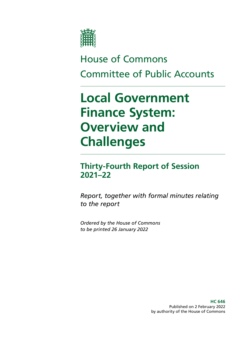

# House of Commons Committee of Public Accounts

# **Local Government Finance System: Overview and Challenges**

### **Thirty-Fourth Report of Session 2021–22**

*Report, together with formal minutes relating to the report*

*Ordered by the House of Commons to be printed 26 January 2022*

> **HC 646** Published on 2 February 2022 by authority of the House of Commons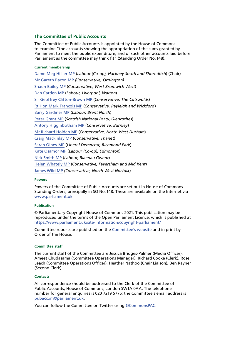#### **The Committee of Public Accounts**

The Committee of Public Accounts is appointed by the House of Commons to examine "the accounts showing the appropriation of the sums granted by Parliament to meet the public expenditure, and of such other accounts laid before Parliament as the committee may think fit" (Standing Order No.148).

#### **Current membership**

[Dame Meg Hillier MP](https://www.parliament.uk/biographies/commons/meg-hillier/1524) (*Labour (Co-op), Hackney South and Shoreditch*) (Chair) [Mr Gareth Bacon MP](https://members.parliament.uk/member/4798/contact) *(Conservative, Orpington)* [Shaun Bailey MP](https://members.parliament.uk/member/4757/contact) (*Conservative, West Bromwich West*) [Dan Carden MP](https://members.parliament.uk/member/4651/contact) (*Labour, Liverpool, Walton*) [Sir Geoffrey Clifton-Brown MP](https://www.parliament.uk/biographies/commons/geoffrey-clifton-brown/249) (*Conservative, The Cotswolds*) [Rt Hon Mark Francois MP](https://members.parliament.uk/member/1444/contact) (*Conservative, Rayleigh and Wickford*) [Barry Gardiner MP](https://members.parliament.uk/member/146/contact) (*Labour, Brent North*) [Peter Grant MP](https://members.parliament.uk/member/4466/contact) (*Scottish National Party, Glenrothes*) [Antony Higginbotham MP](https://members.parliament.uk/member/4833/contact) (*Conservative, Burnley*) [Mr Richard Holden MP](https://members.parliament.uk/member/4813/contact) (*Conservative, North West Durham*) [Craig Mackinlay MP](https://members.parliament.uk/member/4529/contact) (*Conservative, Thanet*) [Sarah Olney MP](https://members.parliament.uk/member/4591/contact) (*Liberal Democrat, Richmond Park*) [Kate Osamor MP](https://members.parliament.uk/member/4515/contact) (*Labour (Co-op), Edmonton*) [Nick Smith MP](https://members.parliament.uk/member/3928/contact) (*Labour, Blaenau Gwent*) [Helen Whately MP](https://members.parliament.uk/member/4527/contact) (*Conservative, Faversham and Mid Kent*) [James Wild MP](https://members.parliament.uk/member/4787/contact) *(Conservative, North West Norfolk*)

#### **Powers**

Powers of the Committee of Public Accounts are set out in House of Commons Standing Orders, principally in SO No.148. These are available on the Internet via [www.parliament.uk](http://www.parliament.uk).

#### **Publication**

© Parliamentary Copyright House of Commons 2021. This publication may be reproduced under the terms of the Open Parliament Licence, which is published at [https://www.parliament.uk/site-information/copyright-parliament/.](https://www.parliament.uk/site-information/copyright-parliament/)

Committee reports are published on the [Committee's website](https://committees.parliament.uk/committee/127/public-accounts-committee/) and in print by Order of the House.

#### **Committee staff**

The current staff of the Committee are Jessica Bridges-Palmer (Media Officer), Ameet Chudasama (Committee Operations Manager), Richard Cooke (Clerk), Rose Leach (Committee Operations Officer), Heather Nathoo (Chair Liaison), Ben Rayner (Second Clerk).

#### **Contacts**

All correspondence should be addressed to the Clerk of the Committee of Public Accounts, House of Commons, London SW1A 0AA. The telephone number for general enquiries is 020 7219 5776; the Committee's email address is [pubaccom@parliament.uk.](mailto:pubaccom%40parliament.uk?subject=)

You can follow the Committee on Twitter using [@CommonsPAC.](https://twitter.com/commonspac)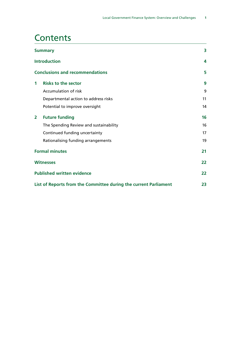# **Contents**

| <b>Summary</b>                    |                                                                  | 3  |
|-----------------------------------|------------------------------------------------------------------|----|
|                                   | <b>Introduction</b>                                              | 4  |
|                                   | <b>Conclusions and recommendations</b>                           | 5  |
| 1                                 | <b>Risks to the sector</b>                                       | 9  |
|                                   | <b>Accumulation of risk</b>                                      | 9  |
|                                   | Departmental action to address risks                             | 11 |
|                                   | Potential to improve oversight                                   | 14 |
| $\overline{2}$                    | <b>Future funding</b>                                            | 16 |
|                                   | The Spending Review and sustainability                           | 16 |
|                                   | Continued funding uncertainty                                    | 17 |
|                                   | Rationalising funding arrangements                               | 19 |
| <b>Formal minutes</b>             |                                                                  | 21 |
| <b>Witnesses</b>                  |                                                                  | 22 |
| <b>Published written evidence</b> |                                                                  | 22 |
|                                   | List of Reports from the Committee during the current Parliament | 23 |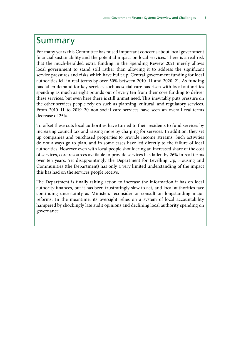### <span id="page-4-0"></span>Summary

For many years this Committee has raised important concerns about local government financial sustainability and the potential impact on local services. There is a real risk that the much-heralded extra funding in the Spending Review 2021 merely allows local government to stand still rather than allowing it to address the significant service pressures and risks which have built up. Central government funding for local authorities fell in real terms by over 50% between 2010–11 and 2020–21. As funding has fallen demand for key services such as social care has risen with local authorities spending as much as eight pounds out of every ten from their core funding to deliver these services, but even here there is still unmet need. This inevitably puts pressure on the other services people rely on such as planning, cultural, and regulatory services. From 2010–11 to 2019–20 non-social care services have seen an overall real-terms decrease of 25%.

To offset these cuts local authorities have turned to their residents to fund services by increasing council tax and raising more by charging for services. In addition, they set up companies and purchased properties to provide income streams. Such activities do not always go to plan, and in some cases have led directly to the failure of local authorities. However even with local people shouldering an increased share of the cost of services, core resources available to provide services has fallen by 26% in real terms over ten years. Yet disappointingly the Department for Levelling Up, Housing and Communities (the Department) has only a very limited understanding of the impact this has had on the services people receive.

The Department is finally taking action to increase the information it has on local authority finances, but it has been frustratingly slow to act, and local authorities face continuing uncertainty as Ministers reconsider or consult on longstanding major reforms. In the meantime, its oversight relies on a system of local accountability hampered by shockingly late audit opinions and declining local authority spending on governance.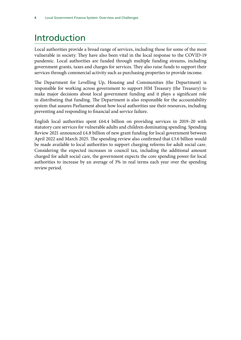# <span id="page-5-0"></span>Introduction

Local authorities provide a broad range of services, including those for some of the most vulnerable in society. They have also been vital in the local response to the COVID-19 pandemic. Local authorities are funded through multiple funding streams, including government grants, taxes and charges for services. They also raise funds to support their services through commercial activity such as purchasing properties to provide income.

The Department for Levelling Up, Housing and Communities (the Department) is responsible for working across government to support HM Treasury (the Treasury) to make major decisions about local government funding and it plays a significant role in distributing that funding. The Department is also responsible for the accountability system that assures Parliament about how local authorities use their resources, including preventing and responding to financial and service failure.

English local authorities spent £64.4 billion on providing services in 2019–20 with statutory care services for vulnerable adults and children dominating spending. Spending Review 2021 announced £4.8 billion of new grant funding for local government between April 2022 and March 2025. The spending review also confirmed that £3.6 billion would be made available to local authorities to support charging reforms for adult social care. Considering the expected increases in council tax, including the additional amount charged for adult social care, the government expects the core spending power for local authorities to increase by an average of 3% in real terms each year over the spending review period.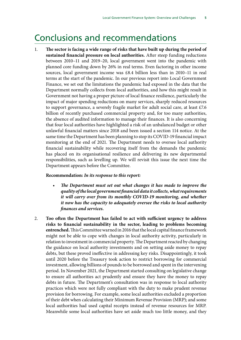## <span id="page-6-0"></span>Conclusions and recommendations

1. **The sector is facing a wide range of risks that have built up during the period of sustained financial pressure on local authorities.** After steep funding reductions between 2010–11 and 2019–20, local government went into the pandemic with planned core funding down by 26% in real terms. Even factoring in other income sources, local government income was £8.4 billion less than in 2010–11 in real terms at the start of the pandemic. In our previous report into Local Government Finance, we set out the limitations the pandemic had exposed in the data that the Department normally collects from local authorities, and how this might result in Government not having a proper picture of local finance resilience, particularly the impact of major spending reductions on many services, sharply reduced resources to support governance, a severely fragile market for adult social care, at least £7.6 billion of recently purchased commercial property and, for too many authorities, the absence of audited information to manage their finances. It is also concerning that four local authorities have highlighted a risk of an unbalanced budget or other unlawful financial matters since 2018 and been issued a section 114 notice. At the same time the Department has been planning to stop its COVID-19 financial impact monitoring at the end of 2021. The Department needs to oversee local authority financial sustainability while recovering itself from the demands the pandemic has placed on its organisational resilience and delivering its new departmental responsibilities, such as levelling up. We will revisit this issue the next time the Department appears before the Committee.

#### **Recommendation:** *In its response to this report:*

- *• The Department must set out what changes it has made to improve the quality of the local government financial data it collects, what requirements it will carry over from its monthly COVID-19 monitoring, and whether it now has the capacity to adequately oversee the risks to local authority finances and services.*
- 2. **Too often the Department has failed to act with sufficient urgency to address risks to financial sustainability in the sector, leading to problems becoming entrenched.** This Committee warned in 2016 that the local capital finance framework might not be able to cope with changes in local authority activity, particularly in relation to investment in commercial property. The Department reacted by changing the guidance on local authority investments and on setting aside money to repay debts, but these proved ineffective in addressing key risks. Disappointingly, it took until 2020 before the Treasury took action to restrict borrowing for commercial investment, allowing billions of pounds to be borrowed and spent in the intervening period. In November 2021, the Department started consulting on legislative change to ensure all authorities act prudently and ensure they have the money to repay debts in future. The Department's consultation was in response to local authority practices which were not fully compliant with the duty to make prudent revenue provision for borrowing. For example, some local authorities excluded a proportion of their debt when calculating their Minimum Revenue Provision (MRP); and some local authorities had used capital receipts instead of revenue resources for MRP. Meanwhile some local authorities have set aside much too little money, and they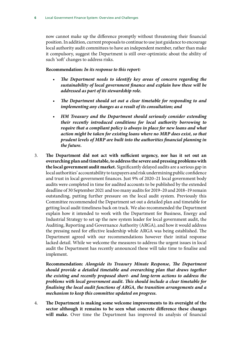now cannot make up the difference promptly without threatening their financial position. In addition, current proposals to continue to use just guidance to encourage local authority audit committees to have an independent member, rather than make it compulsory, suggest the Department is still over-optimistic about the ability of such 'soft' changes to address risks.

#### **Recommendation:** *In its response to this report:*

- *• The Department needs to identify key areas of concern regarding the sustainability of local government finance and explain how these will be addressed as part of its stewardship role.*
- *• The Department should set out a clear timetable for responding to and implementing any changes as a result of its consultation; and*
- *• HM Treasury and the Department should seriously consider extending their recently introduced conditions for local authority borrowing to require that a compliant policy is always in place for new loans and what action might be taken for existing loans where no MRP does exist, so that prudent levels of MRP are built into the authorities financial planning in the future.*
- 3. **The Department did not act with sufficient urgency, nor has it set out an overarching plan and timetable, to address the severe and pressing problems with the local government audit market.** Significantly delayed audits are a serious gap in local authorities' accountability to taxpayers and risk undermining public confidence and trust in local government finances. Just 9% of 2020–21 local government body audits were completed in time for audited accounts to be published by the extended deadline of 30 September 2021 and too many audits for 2019–20 and 2018–19 remain outstanding, putting further pressure on the local audit system. Previously this Committee recommended the Department set out a detailed plan and timetable for getting local audit timeliness back on track. We also recommended the Department explain how it intended to work with the Department for Business, Energy and Industrial Strategy to set up the new system leader for local government audit, the Auditing, Reporting and Governance Authority (ARGA), and how it would address the pressing need for effective leadership while ARGA was being established. The Department agreed with our recommendations however their initial response lacked detail. While we welcome the measures to address the urgent issues in local audit the Department has recently announced these will take time to finalise and implement.

**Recommendation:** *Alongside its Treasury Minute Response, The Department should provide a detailed timetable and overarching plan that draws together the existing and recently proposed short- and long-term actions to address the problems with local government audit. This should include a clear timetable for finalising the local audit functions of ARGA, the transition arrangements and a mechanism to keep this committee updated on progress.*

4. **The Department is making some welcome improvements to its oversight of the sector although it remains to be seen what concrete difference these changes will make.** Over time the Department has improved its analysis of financial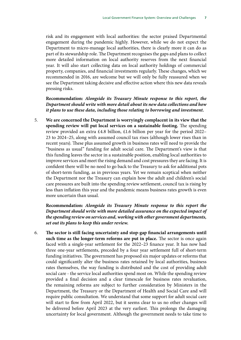risk and its engagement with local authorities: the sector praised Departmental engagement during the pandemic highly. However, while we do not expect the Department to micro-manage local authorities, there is clearly more it can do as part of its stewardship role. The Department recognises the gaps and plans to collect more detailed information on local authority reserves from the next financial year. It will also start collecting data on local authority holdings of commercial property, companies, and financial investments regularly. These changes, which we recommended in 2016, are welcome but we will only be fully reassured when we see the Department taking decisive and effective action where this new data reveals pressing risks.

**Recommendation:** *Alongside its Treasury Minute response to this report, the Department should write with more detail about its new data collections and how it plans to use these data, including those relating to borrowing and investment.*

5. **We are concerned the Department is worryingly complacent in its view that the spending review will put local services on a sustainable footing.** The spending review provided an extra £4.8 billion, £1.6 billion per year for the period 2022– 23 to 2024–25, along with assumed council tax rises (although lower rises than in recent years). These plus assumed growth in business rates will need to provide the "business as usual" funding for adult social care. The Department's view is that this funding leaves the sector in a sustainable position, enabling local authorities to improve services and meet the rising demand and cost pressures they are facing. It is confident there will be no need to go back to the Treasury to ask for additional pots of short-term funding, as in previous years. Yet we remain sceptical when neither the Department nor the Treasury can explain how the adult and children's social care pressures are built into the spending review settlement, council tax is rising by less than inflation this year and the pandemic means business rates growth is even more uncertain than usual.

**Recommendation:** *Alongside its Treasury Minute response to this report the Department should write with more detailed assurance on the expected impact of the spending review on services and, working with other government departments, set out its plans to keep this under review.*

6. **The sector is still facing uncertainty and stop-gap financial arrangements until such time as the longer-term reforms are put in place.** The sector is once again faced with a single-year settlement for the 2022–23 finance year. It has now had three one-year settlements, preceded by a four year settlement full of short-term funding initiatives. The government has proposed six major updates or reforms that could significantly alter the business rates retained by local authorities, business rates themselves, the way funding is distributed and the cost of providing adult social care - the service local authorities spend most on. While the spending review provided a final decision and a clear timescale for business rates revaluation, the remaining reforms are subject to further consideration by Ministers in the Department, the Treasury or the Department of Health and Social Care and will require public consultation. We understand that some support for adult social care will start to flow from April 2022, but it seems clear to us no other changes will be delivered before April 2023 at the very earliest. This prolongs the damaging uncertainty for local government. Although the government needs to take time to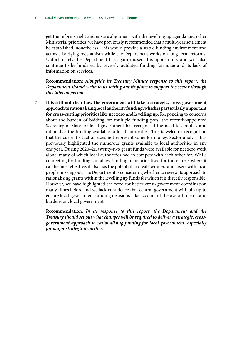get the reforms right and ensure alignment with the levelling up agenda and other Ministerial priorities, we have previously recommended that a multi-year settlement be established, nonetheless. This would provide a stable funding environment and act as a bridging mechanism while the Department works on long-term reforms. Unfortunately the Department has again missed this opportunity and will also continue to be hindered by severely outdated funding formulae and its lack of information on services.

**Recommendation:** *Alongside its Treasury Minute response to this report, the Department should write to us setting out its plans to support the sector through this interim period.*

7. **It is still not clear how the government will take a strategic, cross-government approach to rationalising local authority funding, which is particularly important for cross-cutting priorities like net zero and levelling up.** Responding to concerns about the burden of bidding for multiple funding pots, the recently-appointed Secretary of State for local government has recognised the need to simplify and rationalise the funding available to local authorities. This is welcome recognition that the current situation does not represent value for money. Sector analysis has previously highlighted the numerous grants available to local authorities in any one year. During 2020–21, twenty-two grant funds were available for net zero work alone, many of which local authorities had to compete with each other for. While competing for funding can allow funding to be prioritised for those areas where it can be most effective, it also has the potential to create winners and losers with local people missing out. The Department is considering whether to review its approach to rationalising grants within the levelling up funds for which it is directly responsible. However, we have highlighted the need for better cross-government coordination many times before and we lack confidence that central government will join up to ensure local government funding decisions take account of the overall role of, and burdens on, local government.

**Recommendation:** *In its response to this report, the Department and the Treasury should set out what changes will be required to deliver a strategic, crossgovernment approach to rationalising funding for local government, especially for major strategic priorities.*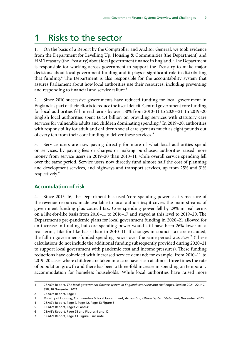# <span id="page-10-0"></span>**1** Risks to the sector

1. On the basis of a Report by the Comptroller and Auditor General, we took evidence from the Department for Levelling Up, Housing & Communities (the Department) and HM Treasury (the Treasury) about local government finance in England.<sup>1</sup> The Department is responsible for working across government to support the Treasury to make major decisions about local government funding and it plays a significant role in distributing that funding.2 The Department is also responsible for the accountability system that assures Parliament about how local authorities use their resources, including preventing and responding to financial and service failure.<sup>3</sup>

2. Since 2010 successive governments have reduced funding for local government in England as part of their efforts to reduce the fiscal deficit. Central government core funding for local authorities fell in real terms by over 50% from 2010–11 to 2020–21. In 2019–20 English local authorities spent £64.4 billion on providing services with statutory care services for vulnerable adults and children dominating spending.<sup>4</sup> In 2019–20, authorities with responsibility for adult and children's social care spent as much as eight pounds out of every ten from their core funding to deliver these services.<sup>5</sup>

3. Service users are now paying directly for more of what local authorities spend on services, by paying fees or charges or making purchases: authorities raised more money from service users in 2019–20 than 2010–11, while overall service spending fell over the same period. Service users now directly fund almost half the cost of planning and development services, and highways and transport services, up from 25% and 31% respectively.6

#### **Accumulation of risk**

4. Since 2015–16, the Department has used 'core spending power' as its measure of the revenue resources made available to local authorities; it covers the main streams of government funding plus council tax. Core spending power fell by 29% in real terms on a like-for-like basis from 2010–11 to 2016–17 and stayed at this level to 2019–20. The Department's pre-pandemic plans for local government funding in 2020–21 allowed for an increase in funding but core spending power would still have been 26% lower on a real-terms, like-for-like basis than in 2010–11. If changes in council tax are excluded, the fall in government-funded spending power over the same period was 52%.<sup>7</sup> (These calculations do not include the additional funding subsequently provided during 2020–21 to support local government with pandemic cost and income pressures). These funding reductions have coincided with increased service demand: for example, from 2010–11 to 2019–20 cases where children are taken into care have risen at almost three times the rate of population growth and there has been a three-fold increase in spending on temporary accommodation for homeless households. While local authorities have raised more

<sup>1</sup> C&AG's Report, *The local government finance system in England: overview and challenges*, Session 2021–22, HC 858, 10 November 2021

<sup>2</sup> C&AG's Report, Page 4

<sup>3</sup> Ministry of Housing, Communities & Local Government, *Accounting Officer System Statement*, November 2020

<sup>4</sup> C&AG's Report, Page 7, Page 12, Page 13 Figure 5

<sup>5</sup> C&AG's Report, Pages 23 and 41

<sup>6</sup> C&AG's Report, Page 28 and Figures 9 and 12

<sup>7</sup> C&AG's Report, Page 13, Figure 5 inc note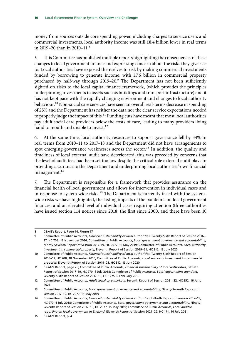money from sources outside core spending power, including charges to service users and commercial investments, local authority income was still £8.4 billion lower in real terms in 2019–20 than in 2010–11 $8$ 

5. This Committee has published multiple reports highlighting the consequences of these changes to local government finance and expressing concern about the risks they give rise to. Local authorities have exposed themselves to risk by making commercial investments funded by borrowing to generate income, with  $£7.6$  billion in commercial property purchased by half-way through 2019–20.<sup>9</sup> The Department has not been sufficiently sighted on risks to the local capital finance framework, (which provides the principles underpinning investments in assets such as buildings and transport infrastructure) and it has not kept pace with the rapidly changing environment and changes to local authority behaviour.<sup>10</sup> Non-social care services have seen an overall real-terms decrease in spending of 25% and the Department has neither the data nor the clear service expectations needed to properly judge the impact of this.<sup>11</sup> Funding cuts have meant that most local authorities pay adult social care providers below the costs of care, leading to many providers living hand to mouth and unable to invest.<sup>12</sup>

6. At the same time, local authority resources to support governance fell by 34% in real terms from 2010–11 to 2017–18 and the Department did not have arrangements to spot emerging governance weaknesses across the sector.<sup>13</sup> In addition, the quality and timeliness of local external audit have deteriorated; this was preceded by concerns that the level of audit fees had been set too low despite the critical role external audit plays in providing assurance to the Department and underpinning local authorities' own financial management.<sup>14</sup>

7. The Department is responsible for a framework that provides assurance on the financial health of local government and allows for intervention in individual cases and in response to system-wide risks.<sup>15</sup> The Department is currently faced with the systemwide risks we have highlighted, the lasting impacts of the pandemic on local government finances, and an elevated level of individual cases requiring attention (three authorities have issued section 114 notices since 2018, the first since 2000, and there have been 10

<sup>8</sup> C&AG's Report, Page 14, Figure 17

<sup>9</sup> Committee of Public Accounts, *Financial sustainability of local authorities*, Twenty-Sixth Report of Session 2016– 17, HC 708, 18 November 2016; Committee of Public Accounts, *Local government governance and accountability*, Ninety-Seventh Report of Session 2017–19, HC 2077, 15 May 2019; Committee of Public Accounts, *Local authority investment in commercial property*, Eleventh Report of Session 2019–21, HC 312, 13 July 2020

<sup>10</sup> Committee of Public Accounts, *Financial sustainability of local authorities*, Twenty-Sixth Report of Session 2016–17, HC 708, 18 November 2016; Committee of Public Accounts, *Local authority investment in commercial property*, Eleventh Report of Session 2019–21, HC 312, 13 July 2020

<sup>11</sup> C&AG's Report, page 26; Committee of Public Accounts, *Financial sustainability of local authorities*, Fiftieth Report of Session 2017–19, HC 970, 4 July 2018; Committee of Public Accounts, *Local government spending*, Seventy-Sixth Report of Session 2017–19, HC 1775, 6 February 2019

<sup>12</sup> Committee of Public Accounts, *Adult social care markets*, Seventh Report of Session 2021–22, HC 252, 16 June 2021

<sup>13</sup> Committee of Public Accounts, *Local government governance and accountability*, Ninety-Seventh Report of Session 2017–19, HC 2077, 15 May 2019

<sup>14</sup> Committee of Public Accounts, *Financial sustainability of local authorities*, Fiftieth Report of Session 2017–19, HC 970, 4 July 2018; Committee of Public Accounts, *Local government governance and accountability*, Ninety-Seventh Report of Session 2017–19, HC 2077, 15 May 2019; Committee of Public Accounts, *Local auditor reporting on local government in England*, Eleventh Report of Session 2021–22, HC 171, 14 July 2021

<sup>15</sup> C&AG's Report, p. 4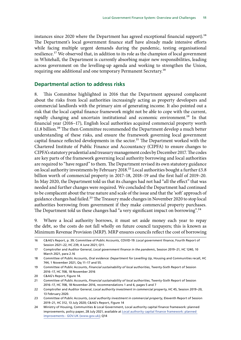<span id="page-12-0"></span>instances since 2020 where the Department has agreed exceptional financial support).<sup>16</sup> The Department's local government finance staff have already made intensive efforts while facing multiple urgent demands during the pandemic, testing organisational resilience.<sup>17</sup> We observed that, in addition to its role as the champion of local government in Whitehall, the Department is currently absorbing major new responsibilities, leading across government on the levelling-up agenda and working to strengthen the Union, requiring one additional and one temporary Permanent Secretary.18

#### **Departmental action to address risks**

8. This Committee highlighted in 2016 that the Department appeared complacent about the risks from local authorities increasingly acting as property developers and commercial landlords with the primary aim of generating income. It also pointed out a risk that the local capital finance framework might not be able to cope with the current, rapidly changing and uncertain institutional and economic environment.<sup>19</sup> In that financial year (2016–17), English local authorities acquired commercial property worth  $£1.8$  billion.<sup>20</sup> The then Committee recommended the Department develop a much better understanding of these risks, and ensure the framework governing local government capital finance reflected developments in the sector.<sup>21</sup> The Department worked with the Chartered Institute of Public Finance and Accountancy (CIPFA) to ensure changes to CIPFA's statutory prudential and treasury management codes by December 2017. The codes are key parts of the framework governing local authority borrowing and local authorities are required to "have regard" to them. The Department revised its own statutory guidance on local authority investments by February 2018.<sup>22</sup> Local authorities bought a further £5.8 billion worth of commercial property in 2017–18, 2018–19 and the first half of 2019–20. In May 2020, the Department told us that its changes had not had "all the effect" that was needed and further changes were required. We concluded the Department had continued to be complacent about the true nature and scale of the issue and that the 'soft' approach of guidance changes had failed.<sup>23</sup> The Treasury made changes in November 2020 to stop local authorities borrowing from government if they make commercial property purchases. The Department told us these changes had "a very significant impact on borrowing".<sup>24</sup>

9. Where a local authority borrows, it must set aside money each year to repay the debt, so the costs do not fall wholly on future council taxpayers; this is known as Minimum Revenue Provision (MRP). MRP ensures councils reflect the cost of borrowing

<sup>16</sup> C&AG's Report, p. 39; Committee of Public Accounts, COVID-19: *Local government finance*, Fourth Report of Session 2021–22, HC 239, 4 June 2021; Q11.

<sup>17</sup> Comptroller and Auditor General, *Local government finance in the pandemic*, Session 2019–21, HC 1240, 10 March 2021, para 2.16

<sup>18</sup> Committee of Public Accounts, *Oral evidence: Department for Levelling Up*, Housing and Communities recall, HC 744, 1 November 2021, Qq 11–17 and 55.

<sup>19</sup> Committee of Public Accounts, *Financial sustainability of local authorities*, Twenty-Sixth Report of Session 2016–17, HC 708, 18 November 2016

<sup>20</sup> C&AG's Report, Figure 14.

<sup>21</sup> Committee of Public Accounts, *Financial sustainability of local authorities*, Twenty-Sixth Report of Session 2016–17, HC 708, 18 November 2016, recommendations 1 and 6, pages 5 and 7

<sup>22</sup> Comptroller and Auditor General, *Local authority investment in commercial property*, HC 45, Session 2019–20, 13 February 2020.

<sup>23</sup> Committee of Public Accounts, *Local authority investment in commercial property*, Eleventh Report of Session 2019–21, HC 312, 13 July 2020; C&AG's Report, Figure 14

<sup>24</sup> Ministry of Housing, Communities & Local Government, Local authority capital finance framework: planned improvements, policy paper, 28 July 2021, available at [Local authority capital finance framework: planned](https://www.gov.uk/government/publications/local-authority-capital-finance-framework-planned-improvements/local-authority-capital-finance-framework-planned-improvements)  [improvements - GOV.UK \(www.gov.uk\);](https://www.gov.uk/government/publications/local-authority-capital-finance-framework-planned-improvements/local-authority-capital-finance-framework-planned-improvements) Q14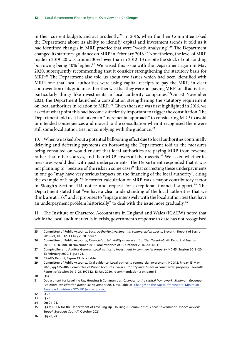in their current budgets and act prudently.<sup>25</sup> In 2016, when the then Committee asked the Department about its ability to identify capital and investment trends it told us it had identified changes in MRP practice that were "worth analysing".<sup>26</sup> The Department changed its statutory guidance on MRP in February 2018.<sup>27</sup> Nonetheless, the level of MRP made in 2019–20 was around 30% lower than in 2012–13 despite the stock of outstanding borrowing being 40% higher.<sup>28</sup> We raised this issue with the Department again in May 2020, subsequently recommending that it consider strengthening the statutory basis for MRP.29 The Department also told us about two issues which had been identified with MRP: one that local authorities were using capital receipts to pay the MRP, in clear contravention of its guidance; the other was that they were not paying MRP for all activities, particularly things like investments in local authority companies.<sup>30</sup>On 30 November 2021, the Department launched a consultation strengthening the statutory requirement on local authorities in relation to MRP.<sup>31</sup> Given the issue was first highlighted in 2016, we asked at what point this had become sufficiently important to trigger the consultation. The Department told us it had taken an "incremental approach" to considering MRP to avoid unintended consequences and moved to the consultation when it recognised there were still some local authorities not complying with the guidance.<sup>32</sup>

10. When we asked about a potential ballooning effect due to local authorities continually delaying and deferring payments on borrowing the Department told us the measures being consulted on would ensure that local authorities are paying MRP from revenue rather than other sources, and their MRP covers all their assets.<sup>33</sup> We asked whether its measures would deal with past underpayments. The Department responded that it was not planning to "because of the risks in some cases" that correcting these underpayments in one go "may have very serious impacts on the financing of the local authority", citing the example of Slough.34 Incorrect calculation of MRP was a major contributory factor in Slough's Section 114 notice and request for exceptional financial support.35 The Department stated that "we have a clear understanding of the local authorities that we think are at risk" and it proposes to "engage intensively with the local authorities that have an underpayment problem historically" to deal with the issue more gradually.<sup>36</sup>

11. The Institute of Chartered Accountants in England and Wales (ICAEW) noted that while the local audit market is in crisis, government's response to date has not recognised

<sup>25</sup> Committee of Public Accounts, *Local authority investment in commercial property*, Eleventh Report of Session 2019–21, HC 312, 13 July 2020, para 15.

<sup>26</sup> Committee of Public Accounts, *Financial sustainability of local authorities*, Twenty-Sixth Report of Session 2016–17, HC 708, 18 November 2016, oral evidence of 10 October 2016, qq 30–31

<sup>27</sup> Comptroller and Auditor General, *Local authority investment in commercial property*, HC 45, Session 2019–20, 13 February 2020, Figure 21.

<sup>28</sup> C&AG's Report, Figure 13 data table

<sup>29</sup> Committee of Public Accounts, Oral evidence: Local authority commercial investment, HC 312, Friday 15 May 2020, qq 105–106; Committee of Public Accounts, *Local authority investment in commercial property*, Eleventh Report of Session 2019–21, HC 312, 13 July 2020, recommendation 3 on page 6

<sup>30</sup> Q14

<sup>31</sup> Department for Levelling Up, Housing & Communities, *Changes to the capital framework: Minimum Revenue Provision, consultation paper*, 30 November 2021, available at: [Changes to the capital framework: Minimum](https://www.gov.uk/government/consultations/changes-to-the-capital-framework-minimum-revenue-provision)  [Revenue Provision - GOV.UK \(www.gov.uk\)](https://www.gov.uk/government/consultations/changes-to-the-capital-framework-minimum-revenue-provision)

<sup>32</sup>  $\overline{Q}$  22

<sup>33</sup> Q 20

<sup>34</sup> Qq 21–24.

<sup>35</sup> Q 47; CIPFA for the Department of Levelling Up, Housing & Communities, *Local Government Finance Review – Slough Borough Council*, October 2021

<sup>36</sup> Qq 20, 24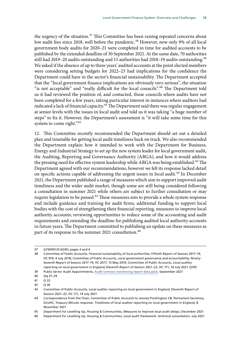the urgency of the situation.<sup>37</sup> This Committee has been raising repeated concerns about low audit fees since 2018, well before the pandemic.<sup>38</sup> However, now only 9% of all local government body audits for 2020–21 were completed in time for audited accounts to be published by the extended deadline of 30 September 2021. At the same date, 70 authorities still had 2019–20 audits outstanding and 15 authorities had 2018–19 audits outstanding.<sup>39</sup> We asked if the absence of up to three years' audited accounts at the point elected members were considering setting budgets for 2022–23 had implications for the confidence the Department could have in the sector's financial sustainability. The Department accepted that the "local government finance implications are obviously very serious", the situation "is not acceptable" and "really difficult for the local councils".40 The Department told us it had reviewed the position of, and contacted, those councils where audits have not been completed for a few years, taking particular interest in instances where auditors had indicated a lack of financial capacity.<sup>41</sup> The Department said there was regular engagement at senior levels with the issues in local audit and told us it was taking "a huge number of steps" to fix it. However, the Department's assessment is "it will take some time for this system to come right."<sup>42</sup>

12. This Committee recently recommended the Department should set out a detailed plan and timetable for getting local audit timeliness back on track. We also recommended the Department explain how it intended to work with the Department for Business, Energy and Industrial Strategy to set up the new system leader for local government audit, the Auditing, Reporting and Governance Authority (ARGA), and how it would address the pressing need for effective system leadership while ARGA was being established.<sup>43</sup> The Department agreed with our recommendations, however we felt its response lacked detail on specific actions capable of addressing the urgent issues in local audit.<sup>44</sup> In December 2021, the Department published a range of measures which aim to support improved audit timeliness and the wider audit market, though some are still being considered following a consultation in summer 2021 while others are subject to further consultation or may require legislation to be passed.<sup>45</sup> These measures aim to provide a whole system response and include guidance and training for audit firms, additional funding to support local bodies with the cost of strengthening their financial reporting, measures to improve local authority accounts, reviewing opportunities to reduce some of the accounting and audit requirements and extending the deadline for publishing audited local authority accounts in future years. The Department committed to publishing an update on these measures as part of its response to the summer 2021 consultation.<sup>46</sup>

<sup>37</sup> (LFS0001/ICAEW), pages 3 and 4

<sup>38</sup> Committee of Public Accounts, *Financial sustainability of local authorities*, Fiftieth Report of Session 2017–19, HC 970, 4 July 2018; Committee of Public Accounts, *Local government governance and accountability*, Ninety-Seventh Report of Session 2017–19, HC 2077, 15 May 2019; Committee of Public Accounts, *Local auditor reporting on local government in England*, Eleventh Report of Session 2021–22, HC 171, 14 July 2021; Q105

<sup>39</sup> Public Sector Audit Appointments, [Audit contract monitoring report data pack,](https://www.psaa.co.uk/wp-content/uploads/2021/10/Q2-2021-22-quality-monitoring-report.pdf) September 2021

<sup>40</sup> Qq 27–29

<sup>41</sup> Q 33

<sup>42</sup> Q 36

<sup>43</sup> Committee of Public Accounts, *Local auditor reporting on local government in England*, Eleventh Report of Session 2021–22, HC 171, 14 July 2021

<sup>44</sup> Correspondence from the Chair, Committee of Public Accounts to Jeremy Pocklington CB, Permanent Secretary, DLUHC, Treasury Minute response- Timeliness of local auditor reporting on local government in England, 8 November 2021

<sup>45</sup> Department for Levelling Up, Housing & Communities, *Measures to improve local audit delays*, December 2021

<sup>46</sup> Department for Levelling Up, Housing & Communities, *Local audit framework: technical consultation*, July 2021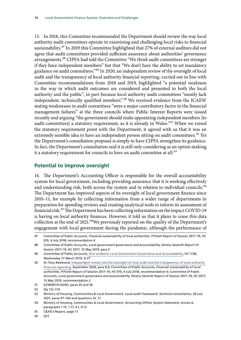<span id="page-15-0"></span>13. In 2018, this Committee recommended the Department should review the way local authority audit committees operate in examining and challenging local risks to financial sustainability.<sup>47</sup> In 2019 this Committee highlighted that 27% of external auditors did not agree that audit committees provided sufficient assurance about authorities' governance arrangements.<sup>48</sup> CIPFA had told the Committee "We think audit committees are stronger if they have independent members" but that "We don't have the ability to set mandatory guidance on audit committees."49 In 2020, an independent review of the oversight of local audit and the transparency of local authority financial reporting, carried out in line with Committee recommendations from 2018 and 2019, highlighted "a potential weakness in the way in which audit outcomes are considered and presented to both the local authority and the public", in part because local authority audit committees "mostly lack independent, technically qualified members".<sup>50</sup> We received evidence from the ICAEW stating weaknesses in audit committees "were a major contributory factor in the financial management failures" at the three councils where Public Interest Reports were issued recently and arguing "the government should make appointing independent members [to audit committees] a statutory requirement, as it is already in Wales."51 When we raised the statutory requirement point with the Department, it agreed with us that it was an extremely sensible idea to have an independent person sitting on audit committees.<sup>52</sup> Yet the Department's consultation proposal is simply to have CIPFA strengthen its guidance. In fact, the Department's consultation said it is still only considering as an option making it a statutory requirement for councils to have an audit committee at all.<sup>53</sup>

#### **Potential to improve oversight**

14. The Department's Accounting Officer is responsible for the overall accountability system for local government, including providing assurance that it is working effectively and understanding risk, both across the system and in relation to individual councils.<sup>54</sup> The Department has improved aspects of its oversight of local government finance since 2010–11, for example by collecting information from a wider range of departments in preparation for spending reviews and creating analytical tools to inform its assessment of financial risk.55 The Department has been collecting information on the impact COVID-19 is having on local authority finances. However, it told us that it plans to cease this data collection at the end of 2021.<sup>56</sup>We previously reported on the quality of the Department's engagement with local government during the pandemic, although the performance of

<sup>47</sup> Committee of Public Accounts, *Financial sustainability of local authorities*, Fiftieth Report of Session 2017–19, HC 970, 4 July 2018, recommendation 6

<sup>48</sup> Committee of Public Accounts, *Local government governance and accountability*, Ninety-Seventh Report of Session 2017–19, HC 2077, 15 May 2019, para 5

<sup>49</sup> Committee of Public Accounts, [Oral evidence: Local Government Governance and Accountability,](http://data.parliament.uk/WrittenEvidence/CommitteeEvidence.svc/EvidenceDocument/Public%20Accounts/Local%20Government%20Governance%20and%20Accountability/Oral/98753.html) HC 1738, Wednesday 27 March 2019, Q 27

<sup>50</sup> Sir Tony Redmond, [Independent review into the oversight of local audit and the transparency of local authority](https://assets.publishing.service.gov.uk/government/uploads/system/uploads/attachment_data/file/916217/Redmond_Review.pdf)  [financial reporting](https://assets.publishing.service.gov.uk/government/uploads/system/uploads/attachment_data/file/916217/Redmond_Review.pdf), September 2020, para 9.6; Committee of Public Accounts, *Financial sustainability of local authorities*, Fiftieth Report of Session 2017–19, HC 970, 4 July 2018, recommendation 6; Committee of Public Accounts, *Local government governance and accountability*, Ninety-Seventh Report of Session 2017–19, HC 2077, 15 May 2019, recommendation 2

<sup>51</sup> (LFS0001/ICAEW), paras 35 and 36

<sup>52</sup> Qq 112–114

<sup>53</sup> Ministry of Housing, Communities & Local Government, *Local audit framework: technical consultation*, 28 July 2021, paras 97–100 and questions 16, 17

<sup>54</sup> Ministry of Housing, Communities & Local Government, *Accounting Officer System Statement*, Annex A, paragraphs 1.15, 1.17, 4.1, 4.12.

<sup>55</sup> C&AG's Report, page 17

<sup>56</sup> Q12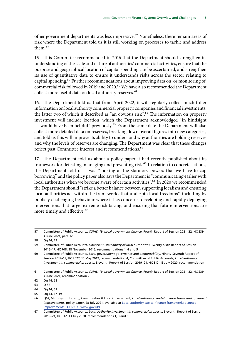other government departments was less impressive.<sup>57</sup> Nonetheless, there remain areas of risk where the Department told us it is still working on processes to tackle and address them<sup>58</sup>

15. This Committee recommended in 2016 that the Department should strengthen its understanding of the scale and nature of authorities' commercial activities, ensure that the purpose and geographical location of capital spending can be ascertained, and strengthen its use of quantitative data to ensure it understands risks across the sector relating to capital spending.<sup>59</sup> Further recommendations about improving data on, or monitoring of, commercial risk followed in 2019 and 2020.<sup>60</sup> We have also recommended the Department collect more useful data on local authority reserves.<sup>61</sup>

16. The Department told us that from April 2022, it will regularly collect much fuller information on local authority commercial property, companies and financial investments, the latter two of which it described as "an obvious risk".<sup>62</sup> The information on property investment will include location, which the Department acknowledged "in hindsight ... would have been helpful" previously.<sup>63</sup> From the same date the Department will also collect more detailed data on reserves, breaking down overall figures into new categories, and told us this will improve its ability to understand why authorities are holding reserves and why the levels of reserves are changing. The Department was clear that these changes reflect past Committee interest and recommendations.<sup>64</sup>

17. The Department told us about a policy paper it had recently published about its framework for detecting, managing and preventing risk.<sup>65</sup> In relation to concrete actions, the Department told us it was "looking at the statutory powers that we have to cap borrowing" and the policy paper also says the Department is "communicating earlier with local authorities when we become aware of certain activities".<sup>66</sup> In 2020 we recommended the Department should "strike a better balance between supporting localism and ensuring local authorities act within the frameworks that underpin local freedoms", including by publicly challenging behaviour where it has concerns, developing and rapidly deploying interventions that target extreme risk taking, and ensuring that future interventions are more timely and effective.<sup>67</sup>

<sup>57</sup> Committee of Public Accounts, *COVID-19: Local government finance*, Fourth Report of Session 2021–22, HC 239, 4 June 2021, para 12.

<sup>58</sup> Qq 14, 19

<sup>59</sup> Committee of Public Accounts, *Financial sustainability of local authorities*, Twenty-Sixth Report of Session 2016–17, HC 708, 18 November 2016, recommendations 1, 4 and 5

<sup>60</sup> Committee of Public Accounts, *Local government governance and accountability*, Ninety-Seventh Report of Session 2017–19, HC 2077, 15 May 2019, recommendation 4; Committee of Public Accounts, *Local authority investment in commercial property*, Eleventh Report of Session 2019–21, HC 312, 13 July 2020, recommendation 6.

<sup>61</sup> Committee of Public Accounts, *COVID-19: Local government finance*, Fourth Report of Session 2021–22, HC 239, 4 June 2021, recommendation 2

<sup>62</sup> Qq 14, 52

<sup>63</sup> Q 52

<sup>64</sup>  $Oq$  14, 52

<sup>65</sup> Qq 14, 17–19

<sup>66</sup> Q14; Ministry of Housing, Communities & Local Government, *Local authority capital finance framework: planned improvements*, policy paper, 28 July 2021, available at [Local authority capital finance framework: planned](https://www.gov.uk/government/publications/local-authority-capital-finance-framework-planned-improvements/local-authority-capital-finance-framework-planned-improvements)  [improvements - GOV.UK \(www.gov.uk\)](https://www.gov.uk/government/publications/local-authority-capital-finance-framework-planned-improvements/local-authority-capital-finance-framework-planned-improvements)

<sup>67</sup> Committee of Public Accounts, *Local authority investment in commercial property*, Eleventh Report of Session 2019–21, HC 312, 13 July 2020, recommendations 1, 3 and 5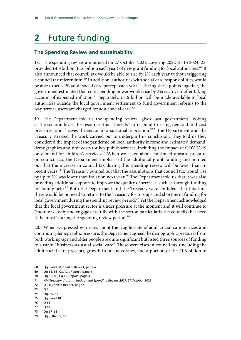# <span id="page-17-0"></span>**2** Future funding

#### **The Spending Review and sustainability**

18. The spending review announced on 27 October 2021, covering 2022–23 to 2024–25, provided £4.8 billion (£1.6 billion each year) of new grant funding for local authorities.<sup>68</sup> It also announced that council tax would be able to rise by 2% each year without triggering a council tax referendum.<sup>69</sup> In addition, authorities with social care responsibilities would be able to set a 1% adult social care precept each year.<sup>70</sup> Taking these points together, the government estimated that core spending power would rise by 3% each year after taking account of expected inflation.<sup>71</sup> Separately, £3.6 billion will be made available to local authorities outside the local government settlement to fund government reforms to the way service users are charged for adult social care.<sup>72</sup>

19. The Department told us the spending review "gives local government, looking at the sectoral level, the resources that it needs" to respond to rising demand and cost pressures, and "leaves the sector in a sustainable position."73 The Department and the Treasury stressed the work carried out to underpin this conclusion. They told us they considered the impact of the pandemic on local authority income and estimated demand, demographics and unit costs for key public services, including the impact of COVID-19 on demand for children's services.<sup>74</sup> When we asked about continued upward pressure on council tax, the Department emphasised the additional grant funding and pointed out that the increase in council tax during this spending review will be lower than in recent years.75 The Treasury pointed out that the assumptions that council tax would rise by up to 3% was lower than inflation next year.<sup>76</sup> The Department told us that it was also providing additional support to improve the quality of services, such as through funding for family help.<sup>77</sup> Both the Department and the Treasury were confident that this time there would be no need to return to the Treasury for top-ups and short-term funding for local government during the spending review period.<sup>78</sup> Yet the Department acknowledged that the local government sector is under pressure at the moment and it will continue to "monitor closely and engage carefully with the sector, particularly the councils that need it the most" during the spending review period.<sup>79</sup>

20. When we pressed witnesses about the fragile state of adult social care services and continuing demographic pressure, the Department agreed the demographic pressures from both working-age and older people are quite significant but listed three sources of funding to sustain "business-as-usual social care". These were rises in council tax (including the adult social care precept), growth in business rates, and a portion of the £1.6 billion of

- 77 Q 10
- 78 Qq 67–68

<sup>68</sup> Qq 8 and 38; C&AG's Report, page 4

<sup>69</sup> Qq 66, 88; C&AG's Report, page 4

<sup>70</sup> Qq 66, 88; C&AG Report, page 4

<sup>71</sup> HM Treasury, *Autumn budget and Spending Review 2021*, 27 October 2021

<sup>72</sup> Q 91; C&AG's Report, page 4

<sup>73</sup> Q 8

<sup>74</sup> Qq, 56, 57

<sup>75</sup> Qq 9 and 10

<sup>76</sup> Q 88

<sup>79</sup> Qq 8, 84–85, 101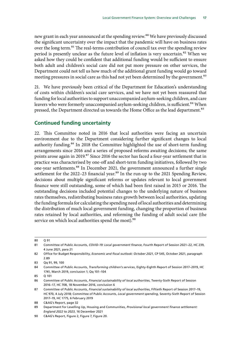<span id="page-18-0"></span>new grant in each year announced at the spending review.<sup>80</sup> We have previously discussed the significant uncertainty over the impact that the pandemic will have on business rates over the long term.<sup>81</sup> The real-terms contribution of council tax over the spending review period is presently unclear as the future level of inflation is very uncertain.<sup>82</sup> When we asked how they could be confident that additional funding would be sufficient to ensure both adult and children's social care did not put more pressure on other services, the Department could not tell us how much of the additional grant funding would go toward meeting pressures in social care as this had not yet been determined by the government.<sup>83</sup>

21. We have previously been critical of the Department for Education's understanding of costs within children's social care services, and we have not yet been reassured that funding for local authorities to support unaccompanied asylum-seeking children, and care leavers who were formerly unaccompanied asylum-seeking children, is sufficient.<sup>84</sup> When pressed, the Department directed us towards the Home Office as the lead department.<sup>85</sup>

#### **Continued funding uncertainty**

22. This Committee noted in 2016 that local authorities were facing an uncertain environment due to the Department considering further significant changes to local authority funding.<sup>86</sup> In 2018 the Committee highlighted the use of short-term funding arrangements since 2016 and a series of proposed reforms awaiting decisions; the same points arose again in 2019.<sup>87</sup> Since 2016 the sector has faced a four-year settlement that in practice was characterised by one-off and short-term funding initiatives, followed by two one-year settlements.<sup>88</sup> In December 2021, the government announced a further single settlement for the 2022–23 financial year.<sup>89</sup> In the run-up to the 2021 Spending Review, decisions about multiple significant reforms or updates relevant to local government finance were still outstanding, some of which had been first raised in 2015 or 2016. The outstanding decisions included potential changes to the underlying nature of business rates themselves, redistributing business rates growth between local authorities, updating the funding formula for calculating the spending need of local authorities and determining the distribution of much local government funding, changing the proportion of business rates retained by local authorities, and reforming the funding of adult social care (the service on which local authorities spend the most).<sup>90</sup>

<sup>80</sup> Q 91

<sup>81</sup> Committee of Public Accounts, *COVID-19: Local government finance*, Fourth Report of Session 2021–22, HC 239, 4 June 2021, para 21

<sup>82</sup> Office for Budget Responsibility, *Economic and fiscal outlook: October 2021*, CP 545, October 2021, paragraph 2.89

<sup>83</sup> Qq 91, 99, 100

<sup>84</sup> Committee of Public Accounts, *Transforming children's services*, Eighty-Eighth Report of Session 2017–2019, HC 1741, March 2019, conclusion 1; Qq 101–104

<sup>85</sup> Q 101

<sup>86</sup> Committee of Public Accounts, *Financial sustainability of local authorities*, Twenty-Sixth Report of Session 2016–17, HC 708, 18 November 2016, conclusion 6

<sup>87</sup> Committee of Public Accounts, *Financial sustainability of local authorities*, Fiftieth Report of Session 2017–19, HC 970, 4 July 2018; Committee of Public Accounts, *Local government spending*, Seventy-Sixth Report of Session 2017–19, HC 1775, 6 February 2019

<sup>88</sup> C&AG's Report, page 32

<sup>89</sup> Department for Levelling Up, Housing and Communities, *Provisional local government finance settlement: England 2022 to 2023*, 16 December 2021

<sup>90</sup> C&AG's Report, Figure 2, Figure 7, Figure 20.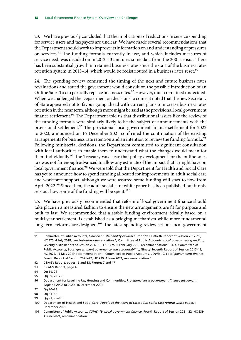23. We have previously concluded that the implications of reductions in service spending for service users and taxpayers are unclear. We have made several recommendations that the Department should work to improve its information on and understanding of pressures on services.<sup>91</sup> The funding formula currently in use, and which includes measures of service need, was decided on in 2012–13 and uses some data from the 2001 census. There has been substantial growth in retained business rates since the start of the business rates retention system in 2013–14, which would be redistributed in a business rates reset.<sup>92</sup>

24. The spending review confirmed the timing of the next and future business rates revaluations and stated the government would consult on the possible introduction of an Online Sales Tax to partially replace business rates.<sup>93</sup> However, much remained undecided. When we challenged the Department on decisions to come, it noted that the new Secretary of State appeared not to favour going ahead with current plans to increase business rates retention in the near term, although more might be said at the provisional local government finance settlement.<sup>94</sup> The Department told us that distributional issues like the review of the funding formula were similarly likely to be the subject of announcements with the provisional settlement.<sup>95</sup> The provisional local government finance settlement for 2022 to 2023, announced on 16 December 2021 confirmed the continuation of the existing arrangements for business rate retention and an intention to review the funding formula.<sup>96</sup> Following ministerial decisions, the Department committed to significant consultation with local authorities to enable them to understand what the changes would mean for them individually.<sup>97</sup> The Treasury was clear that policy development for the online sales tax was not far enough advanced to allow any estimate of the impact that it might have on local government finance.<sup>98</sup> We were told that the Department for Health and Social Care has yet to announce how to spend funding allocated for improvements in adult social care and workforce support, although we were assured some funding will start to flow from April 2022.<sup>99</sup> Since then, the adult social care white paper has been published but it only sets out how some of the funding will be spent.<sup>100</sup>

25. We have previously recommended that reform of local government finance should take place in a measured fashion to ensure the new arrangements are fit for purpose and built to last. We recommended that a stable funding environment, ideally based on a multi-year settlement, is established as a bridging mechanism while more fundamental long-term reforms are designed.<sup>101</sup> The latest spending review set out local government

92 C&AG's Report, pages 16 and 33, Figures 7 and 17

<sup>91</sup> Committee of Public Accounts, *Financial sustainability of local authorities*, Fiftieth Report of Session 2017–19, HC 970, 4 July 2018, conclusion/recommendation 4; Committee of Public Accounts, *Local government spending*, Seventy-Sixth Report of Session 2017–19, HC 1775, 6 February 2019, recommendations 1, 3, 4; Committee of Public Accounts, *Local government governance and accountability*, Ninety-Seventh Report of Session 2017–19, HC 2077, 15 May 2019, recommendation 1; Committee of Public Accounts, *COVID-19: Local government finance*, Fourth Report of Session 2021–22, HC 239, 4 June 2021, recommendation 5

<sup>93</sup> C&AG's Report, page 4

<sup>94</sup> Qq 69, 74

<sup>95</sup> Qq 69, 73–75

<sup>96</sup> Department for Levelling Up, Housing and Communities, *Provisional local government finance settlement: England 2022 to 2023*, 16 December 2021

<sup>97</sup> Qq 70–73

<sup>98</sup> Qq 81–82

<sup>99</sup> Qq 91, 95–96

<sup>100</sup> Department of Health and Social Care, *People at the heart of care: adult social care reform white paper*, 1 December 2021.

<sup>101</sup> Committee of Public Accounts, *COVID-19: Local government finance*, Fourth Report of Session 2021–22, HC 239, 4 June 2021, recommendation 6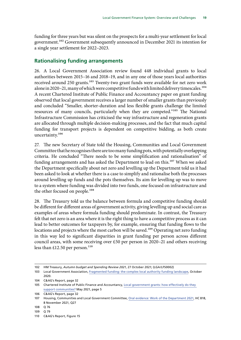<span id="page-20-0"></span>funding for three years but was silent on the prospects for a multi-year settlement for local government.102 Government subsequently announced in December 2021 its intention for a single year settlement for 2022–2023.

#### **Rationalising funding arrangements**

26. A Local Government Association review found 448 individual grants to local authorities between 2015–16 and 2018–19, and in any one of those years local authorities received around 250 grants.<sup>103</sup> Twenty-two grant funds were available for net zero work alone in 2020–21, many of which were competitive funds with limited delivery timescales.<sup>104</sup> A recent Chartered Institute of Public Finance and Accountancy paper on grant funding observed that local government receives a larger number of smaller grants than previously and concluded "Smaller, shorter-duration and less flexible grants challenge the limited resources of many councils, particularly when they are competed."<sup>105</sup> The National Infrastructure Commission has criticised the way infrastructure and regeneration grants are allocated through multiple decision-making processes, and the fact that much capital funding for transport projects is dependent on competitive bidding, as both create uncertainty.106

27. The new Secretary of State told the Housing, Communities and Local Government Committee that he recognises there are too many funding pots, with potentially overlapping criteria. He concluded "There needs to be some simplification and rationalisation" of funding arrangements and has asked the Department to lead on this.<sup>107</sup> When we asked the Department specifically about net zero and levelling up the Department told us it had been asked to look at whether there is a case to simplify and rationalise both the processes around levelling up funds and the pots themselves. Its aim for levelling up was to move to a system where funding was divided into two funds, one focused on infrastructure and the other focused on people.<sup>108</sup>

28. The Treasury told us the balance between formula and competitive funding should be different for different areas of government activity, giving levelling up and social care as examples of areas where formula funding should predominate. In contrast, the Treasury felt that net zero is an area where it is the right thing to have a competitive process as it can lead to better outcomes for taxpayers by, for example, ensuring that funding flows to the locations and projects where the most carbon will be saved.<sup>109</sup> Operating net zero funding in this way led to significant disparities in grant funding per person across different council areas, with some receiving over £50 per person in 2020–21 and others receiving less than  $£12.50$  per person.<sup>110</sup>

<sup>102</sup> HM Treasury, *Autumn budget and Spending Review 2021*, 27 October 2021; (LGA/LFS0002)

<sup>103</sup> Local Government Association, [Fragmented funding: the complex local authority funding landscape](https://www.local.gov.uk/about/news/fragmented-short-term-government-grants-poor-value-money-councils-warn), October 2020.

<sup>104</sup> C&AG's Report, page 32

<sup>105</sup> Chartered Institute of Public Finance and Accountancy, [Local government grants: how effectively do](https://www.cipfa.org/cipfa-thinks/insight/local-government-grants-support-communities) they support [communities?](https://www.cipfa.org/cipfa-thinks/insight/local-government-grants-support-communities) May 2021, page 5

<sup>106</sup> C&AG's Report, page 32

<sup>107</sup> Housing, Communities and Local Government Committee, [Oral evidence: Work of the Department 2021](https://committees.parliament.uk/oralevidence/2980/pdf/), HC 818, 8 November 2021, Q27

<sup>108</sup> Q 76

<sup>109</sup> Q 79

<sup>110</sup> C&AG's Report, Figure 15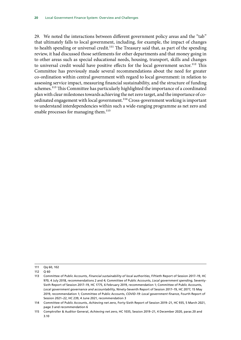29. We noted the interactions between different government policy areas and the "tab" that ultimately falls to local government, including, for example, the impact of changes to health spending or universal credit.<sup>111</sup> The Treasury said that, as part of the spending review, it had discussed those settlements for other departments and that money going in to other areas such as special educational needs, housing, transport, skills and changes to universal credit would have positive effects for the local government sector.<sup>112</sup> This Committee has previously made several recommendations about the need for greater co-ordination within central government with regard to local government: in relation to assessing service impact, measuring financial sustainability, and the structure of funding schemes.<sup>113</sup> This Committee has particularly highlighted the importance of a coordinated plan with clear milestones towards achieving the net zero target, and the importance of coordinated engagement with local government.114 Cross-government working is important to understand interdependencies within such a wide-ranging programme as net zero and enable processes for managing them.<sup>115</sup>

<sup>111</sup> Qq 60, 102

<sup>112</sup> Q 60

<sup>113</sup> Committee of Public Accounts, *Financial sustainability of local authorities*, Fiftieth Report of Session 2017–19, HC 970, 4 July 2018, recommendations 2 and 4; Committee of Public Accounts, *Local government spending*, Seventy-Sixth Report of Session 2017–19, HC 1775, 6 February 2019, recommendation 1; Committee of Public Accounts, *Local government governance and accountability*, Ninety-Seventh Report of Session 2017–19, HC 2077, 15 May 2019, recommendation 1; Committee of Public Accounts, *COVID-19: Local government finance*, Fourth Report of Session 2021–22, HC 239, 4 June 2021, recommendation 3

<sup>114</sup> Committee of Public Accounts, *Achieving net zero*, Forty-Sixth Report of Session 2019–21, HC 935, 5 March 2021, page 3 and recommendation 6

<sup>115</sup> Comptroller & Auditor General, *Achieving net zero*, HC 1035, Session 2019–21, 4 December 2020, paras 20 and 3.10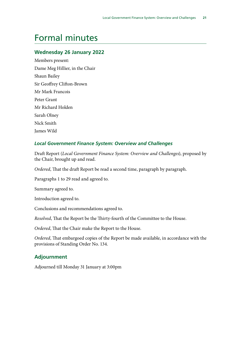# <span id="page-22-0"></span>Formal minutes

#### **Wednesday 26 January 2022**

Members present: Dame Meg Hillier, in the Chair Shaun Bailey Sir Geoffrey Clifton-Brown Mr Mark Francois Peter Grant Mr Richard Holden Sarah Olney Nick Smith James Wild

#### *Local Government Finance System: Overview and Challenges*

Draft Report (*Local Government Finance System: Overview and Challenges*), proposed by the Chair, brought up and read.

*Ordered*, That the draft Report be read a second time, paragraph by paragraph.

Paragraphs 1 to 29 read and agreed to.

Summary agreed to.

Introduction agreed to.

Conclusions and recommendations agreed to.

*Resolved*, That the Report be the Thirty-fourth of the Committee to the House.

*Ordered*, That the Chair make the Report to the House.

*Ordered*, That embargoed copies of the Report be made available, in accordance with the provisions of Standing Order No. 134.

#### **Adjournment**

Adjourned till Monday 31 January at 3:00pm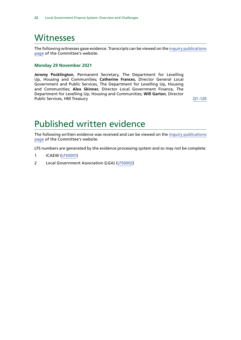### <span id="page-23-0"></span>**Witnesses**

The following witnesses gave evidence. Transcripts can be viewed on the [inquiry publications](https://committees.parliament.uk/work/1578/default/publications/oral-evidence/) [page](https://committees.parliament.uk/work/1578/default/publications/oral-evidence/) of the Committee's website.

#### **Monday 29 November 2021**

**Jeremy Pocklington**, Permanent Secretary, The Department for Levelling Up, Housing and Communities; **Catherine Frances**, Director General Local Government and Public Services, The Department for Levelling Up, Housing and Communities; **Alex Skinner**, Director Local Government Finance, The Department for Levelling Up, Housing and Communities; **Will Garton**, Director Public Services, HM Treasury **DESETE:**  $Q1-120$ 

## Published written evidence

The following written evidence was received and can be viewed on the [inquiry publications](https://committees.parliament.uk/work/1578/default/publications/written-evidence/) [page](https://committees.parliament.uk/work/1578/default/publications/written-evidence/) of the Committee's website.

LFS numbers are generated by the evidence processing system and so may not be complete.

- 1 ICAEW ([LFS0001](https://committees.parliament.uk/writtenevidence/41055/html/))
- 2 Local Government Association (LGA) [\(LFS0002\)](https://committees.parliament.uk/writtenevidence/41092/html/)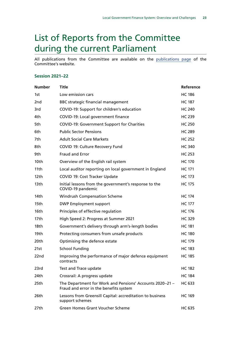# <span id="page-24-0"></span>List of Reports from the Committee during the current Parliament

All publications from the Committee are available on the [publications page](https://committees.parliament.uk/committee/127/public-accounts-committee/publications/) of the Committee's website.

#### **Session 2021–22**

| <b>Number</b>    | <b>Title</b>                                                                                       | Reference     |
|------------------|----------------------------------------------------------------------------------------------------|---------------|
| 1st              | Low emission cars                                                                                  | <b>HC 186</b> |
| 2 <sub>nd</sub>  | <b>BBC strategic financial management</b>                                                          | <b>HC 187</b> |
| 3rd              | COVID-19: Support for children's education                                                         | <b>HC 240</b> |
| 4th              | COVID-19: Local government finance                                                                 | <b>HC 239</b> |
| 5th              | <b>COVID-19: Government Support for Charities</b>                                                  | <b>HC 250</b> |
| 6th              | <b>Public Sector Pensions</b>                                                                      | <b>HC 289</b> |
| 7th              | <b>Adult Social Care Markets</b>                                                                   | <b>HC 252</b> |
| 8th              | COVID 19: Culture Recovery Fund                                                                    | <b>HC 340</b> |
| 9th              | Fraud and Error                                                                                    | <b>HC 253</b> |
| 10th             | Overview of the English rail system                                                                | <b>HC 170</b> |
| 11th             | Local auditor reporting on local government in England                                             | <b>HC 171</b> |
| 12th             | COVID 19: Cost Tracker Update                                                                      | <b>HC 173</b> |
| 13 <sub>th</sub> | Initial lessons from the government's response to the<br>COVID-19 pandemic                         | <b>HC 175</b> |
| 14th             | <b>Windrush Compensation Scheme</b>                                                                | <b>HC 174</b> |
| 15th             | <b>DWP Employment support</b>                                                                      | <b>HC 177</b> |
| 16th             | Principles of effective regulation                                                                 | <b>HC 176</b> |
| 17th             | High Speed 2: Progress at Summer 2021                                                              | <b>HC 329</b> |
| 18th             | Government's delivery through arm's-length bodies                                                  | <b>HC 181</b> |
| 19th             | Protecting consumers from unsafe products                                                          | <b>HC 180</b> |
| 20th             | Optimising the defence estate                                                                      | <b>HC 179</b> |
| 21st             | <b>School Funding</b>                                                                              | <b>HC 183</b> |
| 22nd             | Improving the performance of major defence equipment<br>contracts                                  | <b>HC 185</b> |
| 23rd             | Test and Trace update                                                                              | <b>HC 182</b> |
| 24th             | Crossrail: A progress update                                                                       | <b>HC 184</b> |
| 25th             | The Department for Work and Pensions' Accounts 2020-21 -<br>Fraud and error in the benefits system | <b>HC 633</b> |
| 26th             | Lessons from Greensill Capital: accreditation to business<br>support schemes                       | <b>HC 169</b> |
| 27th             | <b>Green Homes Grant Voucher Scheme</b>                                                            | <b>HC 635</b> |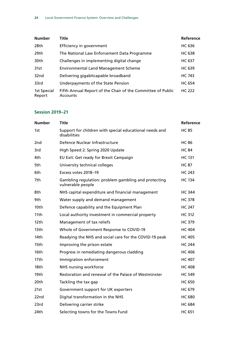| <b>Number</b>         | Title                                                                   | Reference     |
|-----------------------|-------------------------------------------------------------------------|---------------|
| 28th                  | Efficiency in government                                                | <b>HC 636</b> |
| 29th                  | The National Law Enforcement Data Programme                             | HC 638        |
| 30th                  | Challenges in implementing digital change                               | <b>HC 637</b> |
| 31st                  | <b>Environmental Land Management Scheme</b>                             | <b>HC 639</b> |
| 32nd                  | Delivering gigabitcapable broadband                                     | <b>HC 743</b> |
| 33rd                  | Underpayments of the State Pension                                      | <b>HC 654</b> |
| 1st Special<br>Report | Fifth Annual Report of the Chair of the Committee of Public<br>Accounts | <b>HC 222</b> |

#### **Session 2019–21**

| <b>Number</b>    | <b>Title</b>                                                              | Reference     |
|------------------|---------------------------------------------------------------------------|---------------|
| 1st              | Support for children with special educational needs and<br>disabilities   | <b>HC 85</b>  |
| 2nd              | Defence Nuclear Infrastructure                                            | <b>HC 86</b>  |
| 3rd              | High Speed 2: Spring 2020 Update                                          | <b>HC 84</b>  |
| 4th              | EU Exit: Get ready for Brexit Campaign                                    | <b>HC 131</b> |
| 5th              | University technical colleges                                             | <b>HC 87</b>  |
| 6th              | Excess votes 2018-19                                                      | <b>HC 243</b> |
| 7th.             | Gambling regulation: problem gambling and protecting<br>vulnerable people | <b>HC 134</b> |
| 8th              | NHS capital expenditure and financial management                          | <b>HC 344</b> |
| 9th              | Water supply and demand management                                        | <b>HC 378</b> |
| 10th             | Defence capability and the Equipment Plan                                 | HC 247        |
| 11 <sub>th</sub> | Local authority investment in commercial property                         | <b>HC 312</b> |
| 12th             | Management of tax reliefs                                                 | <b>HC 379</b> |
| 13 <sub>th</sub> | Whole of Government Response to COVID-19                                  | <b>HC 404</b> |
| 14th             | Readying the NHS and social care for the COVID-19 peak                    | <b>HC 405</b> |
| 15th             | Improving the prison estate                                               | <b>HC 244</b> |
| 16th             | Progress in remediating dangerous cladding                                | <b>HC 406</b> |
| 17th             | Immigration enforcement                                                   | <b>HC 407</b> |
| 18th             | NHS nursing workforce                                                     | <b>HC 408</b> |
| 19th             | Restoration and renewal of the Palace of Westminster                      | <b>HC 549</b> |
| 20th             | Tackling the tax gap                                                      | <b>HC 650</b> |
| 21st             | Government support for UK exporters                                       | <b>HC 679</b> |
| 22nd             | Digital transformation in the NHS                                         | <b>HC 680</b> |
| 23rd             | Delivering carrier strike                                                 | <b>HC 684</b> |
| 24th             | Selecting towns for the Towns Fund                                        | <b>HC 651</b> |